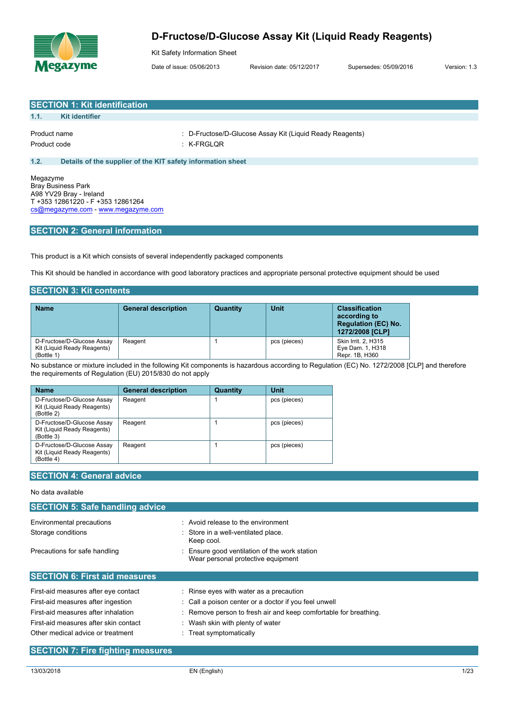

Kit Safety Information Sheet

Date of issue: 05/06/2013 Revision date: 05/12/2017 Supersedes: 05/09/2016 Version: 1.3

|                              | <b>SECTION 1: Kit identification</b>                        |                                                                          |
|------------------------------|-------------------------------------------------------------|--------------------------------------------------------------------------|
| 1.1.                         | <b>Kit identifier</b>                                       |                                                                          |
| Product name<br>Product code |                                                             | : D-Fructose/D-Glucose Assay Kit (Liquid Ready Reagents)<br>$:$ K-FRGLQR |
| 1.2.                         | Details of the supplier of the KIT safety information sheet |                                                                          |
| Megazyme                     |                                                             |                                                                          |

Bray Business Park A98 YV29 Bray - Ireland T +353 12861220 - F +353 12861264 [cs@megazyme.com](mailto:cs@megazyme.com) - <www.megazyme.com>

# **SECTION 2: General information**

This product is a Kit which consists of several independently packaged components

This Kit should be handled in accordance with good laboratory practices and appropriate personal protective equipment should be used

## **SECTION 3: Kit contents**

| <b>Name</b>                                                             | <b>General description</b> | Quantity | Unit         | <b>Classification</b><br>according to<br><b>Regulation (EC) No.</b><br>1272/2008 [CLP] |
|-------------------------------------------------------------------------|----------------------------|----------|--------------|----------------------------------------------------------------------------------------|
| D-Fructose/D-Glucose Assay<br>Kit (Liquid Ready Reagents)<br>(Bottle 1) | Reagent                    |          | pcs (pieces) | Skin Irrit. 2, H315<br>Eye Dam. 1, H318<br>Repr. 1B, H360                              |

No substance or mixture included in the following Kit components is hazardous according to Regulation (EC) No. 1272/2008 [CLP] and therefore the requirements of Regulation (EU) 2015/830 do not apply

| <b>Name</b>                                                             | <b>General description</b> | Quantity | Unit         |
|-------------------------------------------------------------------------|----------------------------|----------|--------------|
| D-Fructose/D-Glucose Assav<br>Kit (Liquid Ready Reagents)<br>(Bottle 2) | Reagent                    |          | pcs (pieces) |
| D-Fructose/D-Glucose Assay<br>Kit (Liquid Ready Reagents)<br>(Bottle 3) | Reagent                    |          | pcs (pieces) |
| D-Fructose/D-Glucose Assay<br>Kit (Liquid Ready Reagents)<br>(Bottle 4) | Reagent                    |          | pcs (pieces) |

# **SECTION 4: General advice**

## No data available

| <b>SECTION 5: Safe handling advice</b> |                                                                                   |
|----------------------------------------|-----------------------------------------------------------------------------------|
| Environmental precautions              | : Avoid release to the environment                                                |
| Storage conditions                     | : Store in a well-ventilated place.<br>Keep cool.                                 |
| Precautions for safe handling          | Ensure good ventilation of the work station<br>Wear personal protective equipment |
| <b>SECTION 6: First aid measures</b>   |                                                                                   |
| First-aid measures after eye contact   | : Rinse eyes with water as a precaution                                           |
| First-aid measures after ingestion     | : Call a poison center or a doctor if you feel unwell                             |
| First-aid measures after inhalation    | : Remove person to fresh air and keep comfortable for breathing.                  |
| First-aid measures after skin contact  | Wash skin with plenty of water                                                    |
| Other medical advice or treatment      | $\therefore$ Treat symptomatically                                                |

# **SECTION 7: Fire fighting measures**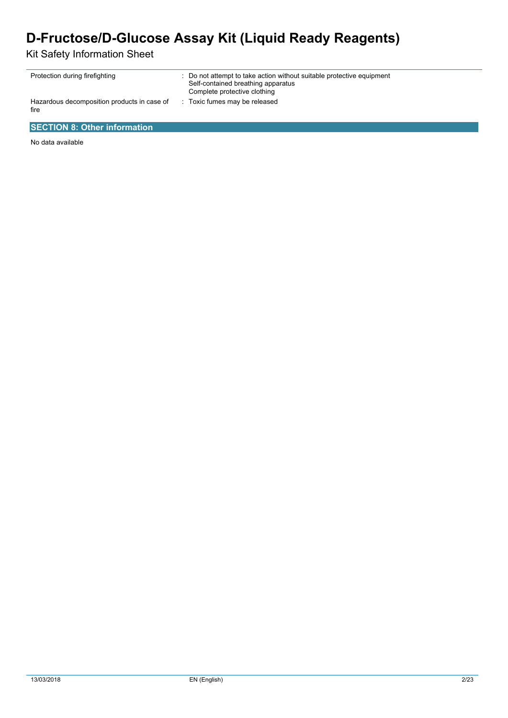Kit Safety Information Sheet

| Protection during firefighting                      | : Do not attempt to take action without suitable protective equipment<br>Self-contained breathing apparatus<br>Complete protective clothing |
|-----------------------------------------------------|---------------------------------------------------------------------------------------------------------------------------------------------|
| Hazardous decomposition products in case of<br>fire | : Toxic fumes may be released                                                                                                               |

# **SECTION 8: Other information**

No data available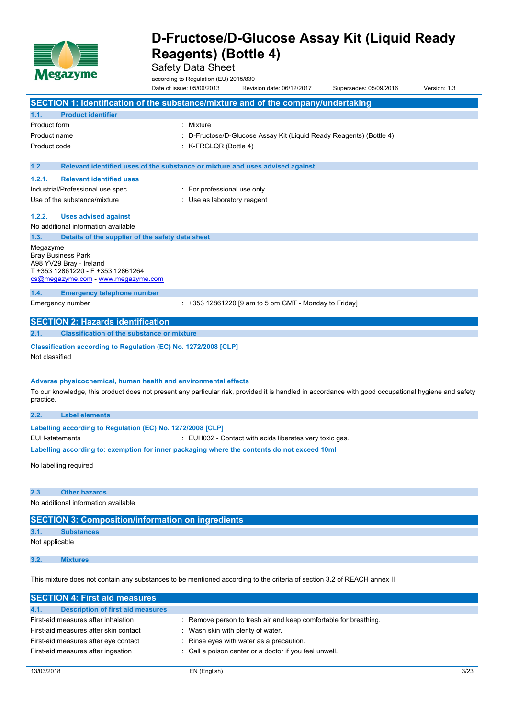

Safety Data Sheet

according to Regulation (EU) 2015/830<br>Date of issue: 05/06/2013 Revis Revision date: 06/12/2017 Supersedes: 05/09/2016 Version: 1.3

|                             |                                                                                                                                    | SECTION 1: Identification of the substance/mixture and of the company/undertaking                                                                   |
|-----------------------------|------------------------------------------------------------------------------------------------------------------------------------|-----------------------------------------------------------------------------------------------------------------------------------------------------|
| 1.1.                        | <b>Product identifier</b>                                                                                                          |                                                                                                                                                     |
| Product form                |                                                                                                                                    | : Mixture                                                                                                                                           |
| Product name                |                                                                                                                                    | : D-Fructose/D-Glucose Assay Kit (Liquid Ready Reagents) (Bottle 4)                                                                                 |
| Product code                |                                                                                                                                    | K-FRGLQR (Bottle 4)                                                                                                                                 |
| 1.2.                        |                                                                                                                                    | Relevant identified uses of the substance or mixture and uses advised against                                                                       |
| 1.2.1.                      | <b>Relevant identified uses</b>                                                                                                    |                                                                                                                                                     |
|                             | Industrial/Professional use spec                                                                                                   | : For professional use only                                                                                                                         |
|                             | Use of the substance/mixture                                                                                                       | : Use as laboratory reagent                                                                                                                         |
| 1.2.2.                      | <b>Uses advised against</b>                                                                                                        |                                                                                                                                                     |
|                             | No additional information available                                                                                                |                                                                                                                                                     |
| 1.3.                        | Details of the supplier of the safety data sheet                                                                                   |                                                                                                                                                     |
| Megazyme                    | <b>Bray Business Park</b><br>A98 YV29 Bray - Ireland<br>T +353 12861220 - F +353 12861264<br>cs@megazyme.com - www.megazyme.com    |                                                                                                                                                     |
| 1.4.                        | <b>Emergency telephone number</b>                                                                                                  |                                                                                                                                                     |
|                             | Emergency number                                                                                                                   | $: +353$ 12861220 [9 am to 5 pm GMT - Monday to Friday]                                                                                             |
|                             | <b>SECTION 2: Hazards identification</b>                                                                                           |                                                                                                                                                     |
| 2.1.                        | <b>Classification of the substance or mixture</b>                                                                                  |                                                                                                                                                     |
| Not classified<br>practice. | Classification according to Regulation (EC) No. 1272/2008 [CLP]<br>Adverse physicochemical, human health and environmental effects | To our knowledge, this product does not present any particular risk, provided it is handled in accordance with good occupational hygiene and safety |
| 2.2.                        | <b>Label elements</b>                                                                                                              |                                                                                                                                                     |
| <b>EUH-statements</b>       | Labelling according to Regulation (EC) No. 1272/2008 [CLP]                                                                         | : EUH032 - Contact with acids liberates very toxic gas.                                                                                             |
|                             |                                                                                                                                    | Labelling according to: exemption for inner packaging where the contents do not exceed 10ml                                                         |
|                             | No labelling required                                                                                                              |                                                                                                                                                     |
| 2.3.                        | <b>Other hazards</b>                                                                                                               |                                                                                                                                                     |
|                             | No additional information available                                                                                                |                                                                                                                                                     |
|                             | <b>SECTION 3: Composition/information on ingredients</b>                                                                           |                                                                                                                                                     |
| 3.1.                        | <b>Substances</b>                                                                                                                  |                                                                                                                                                     |
| Not applicable              |                                                                                                                                    |                                                                                                                                                     |
| 3.2.                        | <b>Mixtures</b>                                                                                                                    |                                                                                                                                                     |
|                             |                                                                                                                                    | This mixture does not contain any substances to be mentioned according to the criteria of section 3.2 of REACH annex II                             |

| <b>SECTION 4: First aid measures</b>             |                                                                  |
|--------------------------------------------------|------------------------------------------------------------------|
| <b>Description of first aid measures</b><br>4.1. |                                                                  |
| First-aid measures after inhalation              | : Remove person to fresh air and keep comfortable for breathing. |
| First-aid measures after skin contact            | Wash skin with plenty of water.                                  |
| First-aid measures after eye contact             | : Rinse eyes with water as a precaution.                         |
| First-aid measures after ingestion               | : Call a poison center or a doctor if you feel unwell.           |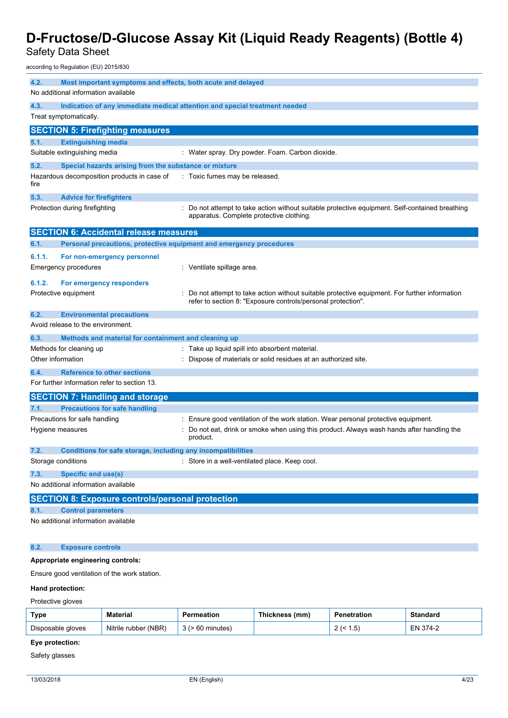Safety Data Sheet

according to Regulation (EU) 2015/830

| 4.2.              | Most important symptoms and effects, both acute and delayed<br>No additional information available |                                                                                                                                                              |
|-------------------|----------------------------------------------------------------------------------------------------|--------------------------------------------------------------------------------------------------------------------------------------------------------------|
| 4.3.              |                                                                                                    | Indication of any immediate medical attention and special treatment needed                                                                                   |
|                   | Treat symptomatically.                                                                             |                                                                                                                                                              |
|                   | <b>SECTION 5: Firefighting measures</b>                                                            |                                                                                                                                                              |
| 5.1.              | <b>Extinguishing media</b>                                                                         |                                                                                                                                                              |
|                   | Suitable extinguishing media                                                                       | : Water spray. Dry powder. Foam. Carbon dioxide.                                                                                                             |
| 5.2.              | Special hazards arising from the substance or mixture                                              |                                                                                                                                                              |
| fire              | Hazardous decomposition products in case of                                                        | : Toxic fumes may be released.                                                                                                                               |
| 5.3.              | <b>Advice for firefighters</b>                                                                     |                                                                                                                                                              |
|                   | Protection during firefighting                                                                     | Do not attempt to take action without suitable protective equipment. Self-contained breathing<br>apparatus. Complete protective clothing.                    |
|                   | <b>SECTION 6: Accidental release measures</b>                                                      |                                                                                                                                                              |
| 6.1.              | Personal precautions, protective equipment and emergency procedures                                |                                                                                                                                                              |
| 6.1.1.            | For non-emergency personnel                                                                        |                                                                                                                                                              |
|                   | <b>Emergency procedures</b>                                                                        | : Ventilate spillage area.                                                                                                                                   |
| 6.1.2.            | For emergency responders                                                                           |                                                                                                                                                              |
|                   | Protective equipment                                                                               | Do not attempt to take action without suitable protective equipment. For further information<br>refer to section 8: "Exposure controls/personal protection". |
| 6.2.              | <b>Environmental precautions</b>                                                                   |                                                                                                                                                              |
|                   | Avoid release to the environment.                                                                  |                                                                                                                                                              |
| 6.3.              | Methods and material for containment and cleaning up                                               |                                                                                                                                                              |
|                   | Methods for cleaning up                                                                            | Take up liquid spill into absorbent material.                                                                                                                |
| Other information |                                                                                                    | Dispose of materials or solid residues at an authorized site.                                                                                                |
| 6.4.              | <b>Reference to other sections</b>                                                                 |                                                                                                                                                              |
|                   | For further information refer to section 13.                                                       |                                                                                                                                                              |
|                   | <b>SECTION 7: Handling and storage</b>                                                             |                                                                                                                                                              |
| 7.1.              | <b>Precautions for safe handling</b>                                                               |                                                                                                                                                              |
|                   | Precautions for safe handling                                                                      | Ensure good ventilation of the work station. Wear personal protective equipment.                                                                             |
|                   | Hygiene measures                                                                                   | Do not eat, drink or smoke when using this product. Always wash hands after handling the<br>product.                                                         |
| 7.2.              | Conditions for safe storage, including any incompatibilities                                       |                                                                                                                                                              |
|                   | Storage conditions                                                                                 | Store in a well-ventilated place. Keep cool.                                                                                                                 |
| 7.3.              | <b>Specific end use(s)</b>                                                                         |                                                                                                                                                              |
|                   | No additional information available                                                                |                                                                                                                                                              |
|                   | <b>SECTION 8: Exposure controls/personal protection</b>                                            |                                                                                                                                                              |
| 8.1.              | <b>Control parameters</b>                                                                          |                                                                                                                                                              |
|                   | No additional information available                                                                |                                                                                                                                                              |
| 8.2.              | <b>Exposure controls</b>                                                                           |                                                                                                                                                              |
|                   | Appropriate engineering controls:                                                                  |                                                                                                                                                              |

Ensure good ventilation of the work station.

#### **Hand protection:**

Protective gloves

| Type              | Material             | Permeation    | Thickness (mm) | Penetration     | Standard |
|-------------------|----------------------|---------------|----------------|-----------------|----------|
| Disposable gloves | Nitrile rubber (NBR) | · 60 minutes) |                | . ب<br><u>.</u> | EN 374-2 |

# **Eye protection:**

Safety glasses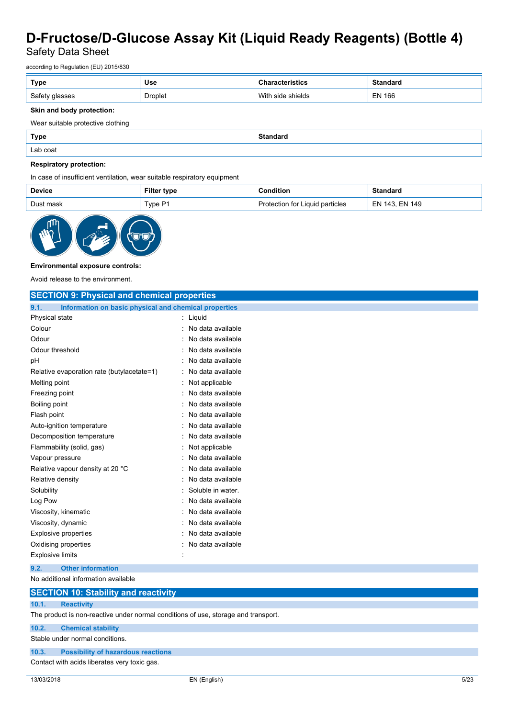Safety Data Sheet

according to Regulation (EU) 2015/830

| Type           | Use            | stics                | <b>Standard</b> |
|----------------|----------------|----------------------|-----------------|
| Safety glasses | <b>Droplet</b> | With<br>side shields | <b>EN 166</b>   |

## **Skin and body protection:**

Wear suitable protective clothing

| <b>Type</b> | Standard |
|-------------|----------|
| Lab coat    |          |

## **Respiratory protection:**

In case of insufficient ventilation, wear suitable respiratory equipment

| <b>Device</b> | Filter<br>ˈtype | <b>Condition</b>                | Standard       |
|---------------|-----------------|---------------------------------|----------------|
| Dust mask     | $T$ vpe P1      | Protection for Liquid particles | EN 143, EN 149 |



### **Environmental exposure controls:**

Avoid release to the environment.

| <b>SECTION 9: Physical and chemical properties</b>                                 |                   |
|------------------------------------------------------------------------------------|-------------------|
| Information on basic physical and chemical properties<br>9.1.                      |                   |
| Physical state                                                                     | Liquid            |
| Colour                                                                             | No data available |
| Odour                                                                              | No data available |
| Odour threshold                                                                    | No data available |
| pH                                                                                 | No data available |
| Relative evaporation rate (butylacetate=1)                                         | No data available |
| Melting point                                                                      | Not applicable    |
| Freezing point                                                                     | No data available |
| <b>Boiling point</b>                                                               | No data available |
| Flash point                                                                        | No data available |
| Auto-ignition temperature                                                          | No data available |
| Decomposition temperature                                                          | No data available |
| Flammability (solid, gas)                                                          | Not applicable    |
| Vapour pressure                                                                    | No data available |
| Relative vapour density at 20 °C                                                   | No data available |
| Relative density                                                                   | No data available |
| Solubility                                                                         | Soluble in water. |
| Log Pow                                                                            | No data available |
| Viscosity, kinematic                                                               | No data available |
| Viscosity, dynamic                                                                 | No data available |
| <b>Explosive properties</b>                                                        | No data available |
| Oxidising properties                                                               | No data available |
| <b>Explosive limits</b>                                                            |                   |
| <b>Other information</b><br>9.2.                                                   |                   |
| No additional information available                                                |                   |
| <b>SECTION 10: Stability and reactivity</b>                                        |                   |
| 10.1.<br><b>Reactivity</b>                                                         |                   |
| The product is non-reactive under normal conditions of use, storage and transport. |                   |

**10.2. Chemical stability**

Stable under normal conditions.

### **10.3. Possibility of hazardous reactions**

Contact with acids liberates very toxic gas.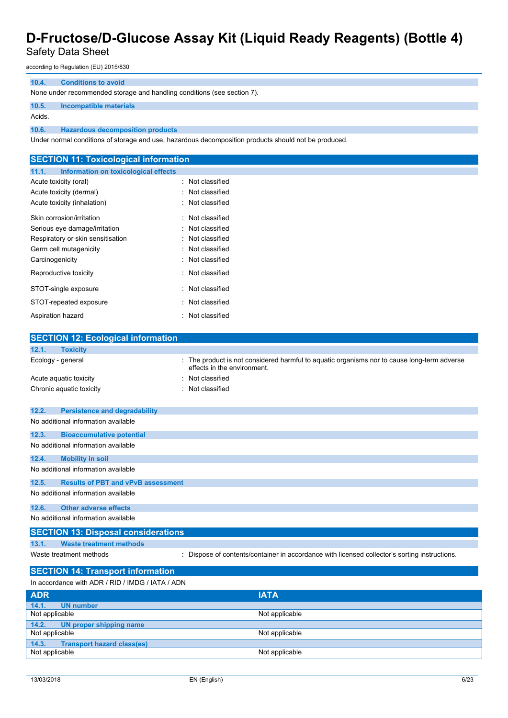# Safety Data Sheet

according to Regulation (EU) 2015/830

## **10.4. Conditions to avoid**

None under recommended storage and handling conditions (see section 7).

#### **10.5. Incompatible materials**

Acids.

#### **10.6. Hazardous decomposition products**

Under normal conditions of storage and use, hazardous decomposition products should not be produced.

| <b>SECTION 11: Toxicological information</b>  |                                                                                                                         |
|-----------------------------------------------|-------------------------------------------------------------------------------------------------------------------------|
| Information on toxicological effects<br>11.1. |                                                                                                                         |
| Acute toxicity (oral)                         | : Not classified                                                                                                        |
| Acute toxicity (dermal)                       | : Not classified                                                                                                        |
| Acute toxicity (inhalation)                   | : Not classified                                                                                                        |
| Skin corrosion/irritation                     | : Not classified                                                                                                        |
| Serious eye damage/irritation                 | : Not classified                                                                                                        |
| Respiratory or skin sensitisation             | Not classified                                                                                                          |
| Germ cell mutagenicity                        | Not classified                                                                                                          |
| Carcinogenicity                               | : Not classified                                                                                                        |
| Reproductive toxicity                         | : Not classified                                                                                                        |
| STOT-single exposure                          | Not classified                                                                                                          |
| STOT-repeated exposure                        | : Not classified                                                                                                        |
| Aspiration hazard                             | Not classified                                                                                                          |
| <b>SECTION 12: Ecological information</b>     |                                                                                                                         |
| 12.1.<br><b>Toxicity</b>                      |                                                                                                                         |
| Ecology - general                             | The product is not considered harmful to aquatic organisms nor to cause long-term adverse<br>effects in the environment |

|       |                                      | ellects in the environment. |
|-------|--------------------------------------|-----------------------------|
|       | Acute aquatic toxicity               | : Not classified            |
|       | Chronic aquatic toxicity             | : Not classified            |
|       |                                      |                             |
| 12.2. | <b>Persistence and degradability</b> |                             |
|       | No additional information available  |                             |
| 12.3. | <b>Bioaccumulative potential</b>     |                             |
|       | No additional information available  |                             |

# **12.4. Mobility in soil**

No additional information available

### **12.5. Results of PBT and vPvB assessment**

No additional information available

## **12.6. Other adverse effects**

# No additional information available

## **SECTION 13: Disposal considerations**

**13.1. Waste treatment methods**

Waste treatment methods : Dispose of contents/container in accordance with licensed collector's sorting instructions.

# **SECTION 14: Transport information**

| In accordance with ADR / RID / IMDG / IATA / ADN |                |
|--------------------------------------------------|----------------|
| <b>ADR</b>                                       | <b>IATA</b>    |
| 14.1.<br>UN number                               |                |
| Not applicable                                   | Not applicable |
| 14.2.<br>UN proper shipping name                 |                |
| Not applicable                                   | Not applicable |
| <b>Transport hazard class(es)</b><br>14.3.       |                |
| Not applicable                                   | Not applicable |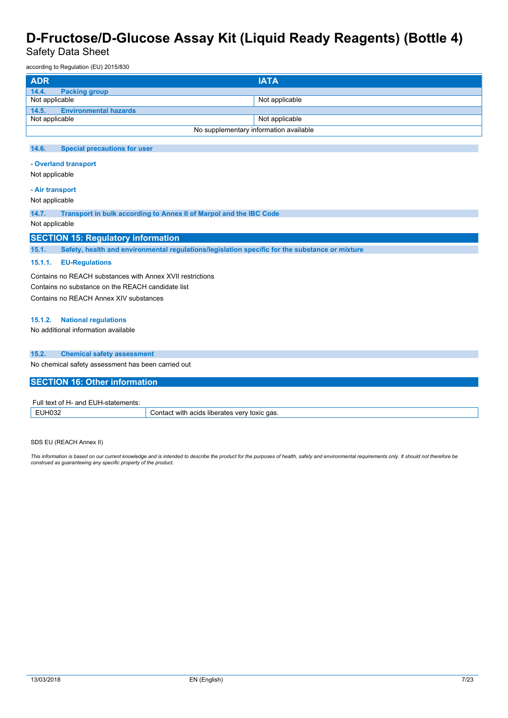Safety Data Sheet

according to Regulation (EU) 2015/830

| <b>ADR</b>                             | <b>IATA</b>    |
|----------------------------------------|----------------|
| 14.4.<br><b>Packing group</b>          |                |
| Not applicable                         | Not applicable |
| 14.5. Environmental hazards            |                |
| Not applicable                         | Not applicable |
| No supplementary information available |                |

#### **14.6. Special precautions for user**

### **- Overland transport**

Not applicable

### **- Air transport**

Not applicable

**14.7. Transport in bulk according to Annex II of Marpol and the IBC Code**

#### Not applicable

## **SECTION 15: Regulatory information**

**15.1. Safety, health and environmental regulations/legislation specific for the substance or mixture**

#### **15.1.1. EU-Regulations**

Contains no REACH substances with Annex XVII restrictions Contains no substance on the REACH candidate list Contains no REACH Annex XIV substances

#### **15.1.2. National regulations**

No additional information available

#### **15.2. Chemical safety assessment**

No chemical safety assessment has been carried out

### **SECTION 16: Other information**

| $\overline{\phantom{a}}$ Full text of H- $\overline{\phantom{a}}$ .<br>'- and EUH-statements: |                                                     |
|-----------------------------------------------------------------------------------------------|-----------------------------------------------------|
| EUH032                                                                                        | Contact with acids liberates very *<br>' toxic gas. |

SDS EU (REACH Annex II)

This information is based on our current knowledge and is intended to describe the product for the purposes of health, safety and environmental requirements only. It should not therefore be<br>construed as guaranteeing any sp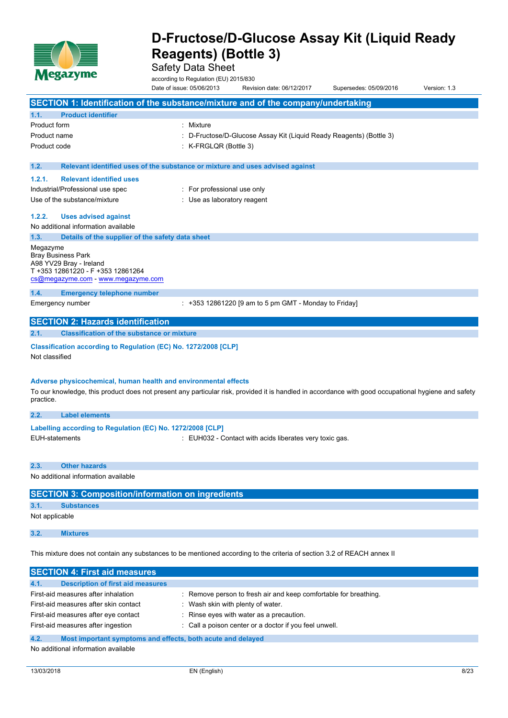

Safety Data Sheet

according to Regulation (EU) 2015/830 Date of issue: 05/06/2013 Revision date: 06/12/2017 Supersedes: 05/09/2016 Version: 1.3

|                       |                                                                 | SECTION 1: Identification of the substance/mixture and of the company/undertaking                                                                   |
|-----------------------|-----------------------------------------------------------------|-----------------------------------------------------------------------------------------------------------------------------------------------------|
| 1.1.                  | <b>Product identifier</b>                                       |                                                                                                                                                     |
| Product form          |                                                                 | : Mixture                                                                                                                                           |
| Product name          |                                                                 | D-Fructose/D-Glucose Assay Kit (Liquid Ready Reagents) (Bottle 3)                                                                                   |
| Product code          |                                                                 | : K-FRGLQR (Bottle 3)                                                                                                                               |
|                       |                                                                 |                                                                                                                                                     |
| 1.2.                  |                                                                 | Relevant identified uses of the substance or mixture and uses advised against                                                                       |
| 1.2.1.                | <b>Relevant identified uses</b>                                 |                                                                                                                                                     |
|                       | Industrial/Professional use spec                                | : For professional use only                                                                                                                         |
|                       | Use of the substance/mixture                                    | : Use as laboratory reagent                                                                                                                         |
| 1.2.2.                | <b>Uses advised against</b>                                     |                                                                                                                                                     |
|                       | No additional information available                             |                                                                                                                                                     |
| 1.3.                  | Details of the supplier of the safety data sheet                |                                                                                                                                                     |
| Megazyme              |                                                                 |                                                                                                                                                     |
|                       | <b>Bray Business Park</b><br>A98 YV29 Bray - Ireland            |                                                                                                                                                     |
|                       | T +353 12861220 - F +353 12861264                               |                                                                                                                                                     |
|                       | cs@megazyme.com - www.megazyme.com                              |                                                                                                                                                     |
| 1.4.                  | <b>Emergency telephone number</b>                               |                                                                                                                                                     |
|                       | Emergency number                                                | $: +353$ 12861220 [9 am to 5 pm GMT - Monday to Friday]                                                                                             |
|                       |                                                                 |                                                                                                                                                     |
|                       | <b>SECTION 2: Hazards identification</b>                        |                                                                                                                                                     |
| 2.1.                  | <b>Classification of the substance or mixture</b>               |                                                                                                                                                     |
|                       |                                                                 |                                                                                                                                                     |
|                       | Classification according to Regulation (EC) No. 1272/2008 [CLP] |                                                                                                                                                     |
| Not classified        |                                                                 |                                                                                                                                                     |
|                       |                                                                 |                                                                                                                                                     |
|                       | Adverse physicochemical, human health and environmental effects |                                                                                                                                                     |
|                       |                                                                 | To our knowledge, this product does not present any particular risk, provided it is handled in accordance with good occupational hygiene and safety |
| practice.             |                                                                 |                                                                                                                                                     |
| 2.2.                  | <b>Label elements</b>                                           |                                                                                                                                                     |
|                       | Labelling according to Regulation (EC) No. 1272/2008 [CLP]      |                                                                                                                                                     |
| <b>EUH-statements</b> |                                                                 | : EUH032 - Contact with acids liberates very toxic gas.                                                                                             |
|                       |                                                                 |                                                                                                                                                     |
| 2.3.                  | <b>Other hazards</b>                                            |                                                                                                                                                     |
|                       | No additional information available                             |                                                                                                                                                     |
|                       |                                                                 |                                                                                                                                                     |
|                       | <b>SECTION 3: Composition/information on ingredients</b>        |                                                                                                                                                     |
| 3.1.                  | <b>Substances</b>                                               |                                                                                                                                                     |
| Not applicable        |                                                                 |                                                                                                                                                     |
| 3.2.                  | <b>Mixtures</b>                                                 |                                                                                                                                                     |
|                       |                                                                 | This mixture does not contain any substances to be mentioned according to the criteria of section 3.2 of REACH annex II                             |

| <b>SECTION 4: First aid measures</b>                                |                                                                  |
|---------------------------------------------------------------------|------------------------------------------------------------------|
| 4.1.<br><b>Description of first aid measures</b>                    |                                                                  |
| First-aid measures after inhalation                                 | : Remove person to fresh air and keep comfortable for breathing. |
| First-aid measures after skin contact                               | Wash skin with plenty of water.                                  |
| First-aid measures after eye contact                                | Rinse eyes with water as a precaution.                           |
| First-aid measures after ingestion                                  | : Call a poison center or a doctor if you feel unwell.           |
| 4.2.<br>Most important symptoms and effects, both acute and delayed |                                                                  |

No additional information available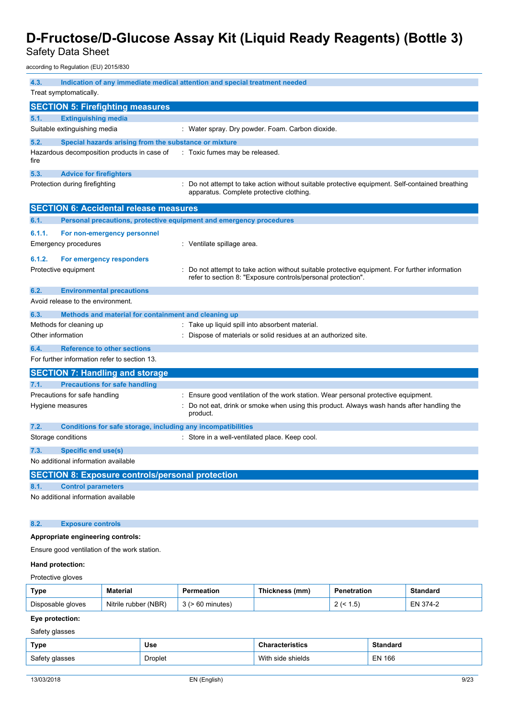Safety Data Sheet

according to Regulation (EU) 2015/830

| 4.3.              | Treat symptomatically.                                              | Indication of any immediate medical attention and special treatment needed                                                                                   |
|-------------------|---------------------------------------------------------------------|--------------------------------------------------------------------------------------------------------------------------------------------------------------|
|                   | <b>SECTION 5: Firefighting measures</b>                             |                                                                                                                                                              |
| 5.1.              | <b>Extinguishing media</b>                                          |                                                                                                                                                              |
|                   | Suitable extinguishing media                                        | : Water spray. Dry powder. Foam. Carbon dioxide.                                                                                                             |
| 5.2.              | Special hazards arising from the substance or mixture               |                                                                                                                                                              |
| fire              | Hazardous decomposition products in case of                         | : Toxic fumes may be released.                                                                                                                               |
| 5.3.              | <b>Advice for firefighters</b>                                      |                                                                                                                                                              |
|                   | Protection during firefighting                                      | : Do not attempt to take action without suitable protective equipment. Self-contained breathing<br>apparatus. Complete protective clothing.                  |
|                   | <b>SECTION 6: Accidental release measures</b>                       |                                                                                                                                                              |
| 6.1.              | Personal precautions, protective equipment and emergency procedures |                                                                                                                                                              |
| 6.1.1.            | For non-emergency personnel                                         |                                                                                                                                                              |
|                   | <b>Emergency procedures</b>                                         | : Ventilate spillage area.                                                                                                                                   |
| 6.1.2.            | For emergency responders                                            |                                                                                                                                                              |
|                   | Protective equipment                                                | Do not attempt to take action without suitable protective equipment. For further information<br>refer to section 8: "Exposure controls/personal protection". |
| 6.2.              | <b>Environmental precautions</b>                                    |                                                                                                                                                              |
|                   | Avoid release to the environment.                                   |                                                                                                                                                              |
| 6.3.              | Methods and material for containment and cleaning up                |                                                                                                                                                              |
|                   | Methods for cleaning up                                             | : Take up liquid spill into absorbent material.                                                                                                              |
| Other information |                                                                     | Dispose of materials or solid residues at an authorized site.                                                                                                |
| 6.4.              | <b>Reference to other sections</b>                                  |                                                                                                                                                              |
|                   | For further information refer to section 13.                        |                                                                                                                                                              |
|                   | <b>SECTION 7: Handling and storage</b>                              |                                                                                                                                                              |
| 7.1.              | <b>Precautions for safe handling</b>                                |                                                                                                                                                              |
|                   | Precautions for safe handling                                       | Ensure good ventilation of the work station. Wear personal protective equipment.                                                                             |
|                   | Hygiene measures                                                    | Do not eat, drink or smoke when using this product. Always wash hands after handling the<br>product.                                                         |
| 7.2.              | Conditions for safe storage, including any incompatibilities        |                                                                                                                                                              |
|                   | Storage conditions                                                  | : Store in a well-ventilated place. Keep cool.                                                                                                               |
| 7.3.              | Specific end use(s)                                                 |                                                                                                                                                              |
|                   | No additional information available                                 |                                                                                                                                                              |
|                   | <b>SECTION 8: Exposure controls/personal protection</b>             |                                                                                                                                                              |
| 8.1.              | <b>Control parameters</b>                                           |                                                                                                                                                              |
|                   | No additional information available                                 |                                                                                                                                                              |
| 8.2.              | <b>Exposure controls</b>                                            |                                                                                                                                                              |
|                   | Appropriate engineering controls:                                   |                                                                                                                                                              |
|                   | Ensure good ventilation of the work station.                        |                                                                                                                                                              |
| Hand protection:  |                                                                     |                                                                                                                                                              |

# Protective gloves

| Type              | <b>Material</b>      | Permeation    | Thickness (mm) | <b>Penetration</b> | Standard    |
|-------------------|----------------------|---------------|----------------|--------------------|-------------|
| Disposable gloves | Nitrile rubber (NBR) | minutes<br>ხს |                | $.5^{\circ}$       | EN<br>374-2 |

# **Eye protection:**

Safety glasses

| Type           | Use            | <b>Characteristics</b> | <b>Standard</b> |
|----------------|----------------|------------------------|-----------------|
| Safety glasses | <b>Droplet</b> | With side shields      | <b>EN 166</b>   |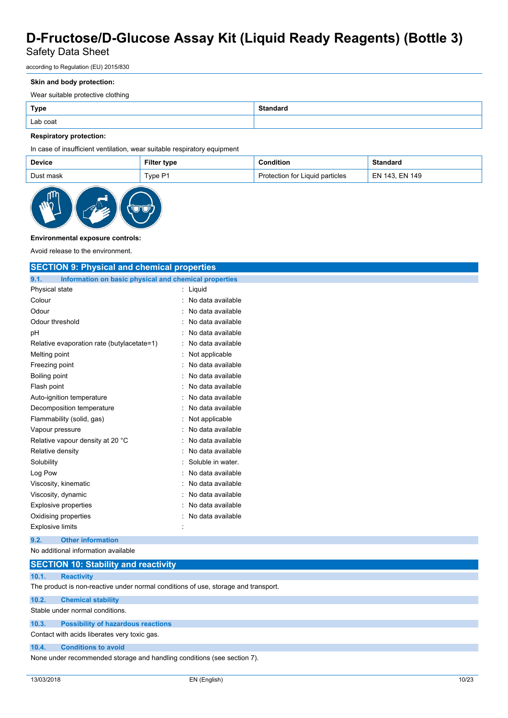# Safety Data Sheet

according to Regulation (EU) 2015/830

#### **Skin and body protection:**

Wear suitable protective clothing

| <b>Type</b> | Standard |
|-------------|----------|
| Lab coat    |          |

## **Respiratory protection:**

### In case of insufficient ventilation, wear suitable respiratory equipment

| <b>Device</b> | <b>Filter type</b> | ົ∩ndition                            | Standaro            |
|---------------|--------------------|--------------------------------------|---------------------|
| Dust mask     | TypeP1             | Liquid particles<br>ాtection for Liu | l 143, EN 149<br>EN |



## **Environmental exposure controls:**

Avoid release to the environment.

| <b>SECTION 9: Physical and chemical properties</b>            |                   |  |
|---------------------------------------------------------------|-------------------|--|
| 9.1.<br>Information on basic physical and chemical properties |                   |  |
| Physical state                                                | : Liquid          |  |
| Colour                                                        | No data available |  |
| Odour                                                         | No data available |  |
| Odour threshold                                               | No data available |  |
| pH                                                            | No data available |  |
| Relative evaporation rate (butylacetate=1)                    | No data available |  |
| Melting point                                                 | Not applicable    |  |
| Freezing point                                                | No data available |  |
| Boiling point                                                 | No data available |  |
| Flash point                                                   | No data available |  |
| Auto-ignition temperature                                     | No data available |  |
| Decomposition temperature                                     | No data available |  |
| Flammability (solid, gas)                                     | Not applicable    |  |
| Vapour pressure                                               | No data available |  |
| Relative vapour density at 20 °C                              | No data available |  |
| Relative density                                              | No data available |  |
| Solubility                                                    | Soluble in water. |  |
| Log Pow                                                       | No data available |  |
| Viscosity, kinematic                                          | No data available |  |
| Viscosity, dynamic                                            | No data available |  |
| <b>Explosive properties</b>                                   | No data available |  |
| Oxidising properties                                          | No data available |  |
| <b>Explosive limits</b>                                       |                   |  |
| <b>Other information</b><br>9.2.                              |                   |  |
| No additional information available                           |                   |  |

|                                 | <b>SECTION 10: Stability and reactivity</b>                                        |
|---------------------------------|------------------------------------------------------------------------------------|
| 10.1.                           | <b>Reactivity</b>                                                                  |
|                                 | The product is non-reactive under normal conditions of use, storage and transport. |
| 10.2.                           | <b>Chemical stability</b>                                                          |
| Stable under normal conditions. |                                                                                    |

## **10.3. Possibility of hazardous reactions**

Contact with acids liberates very toxic gas.

#### **10.4. Conditions to avoid**

None under recommended storage and handling conditions (see section 7).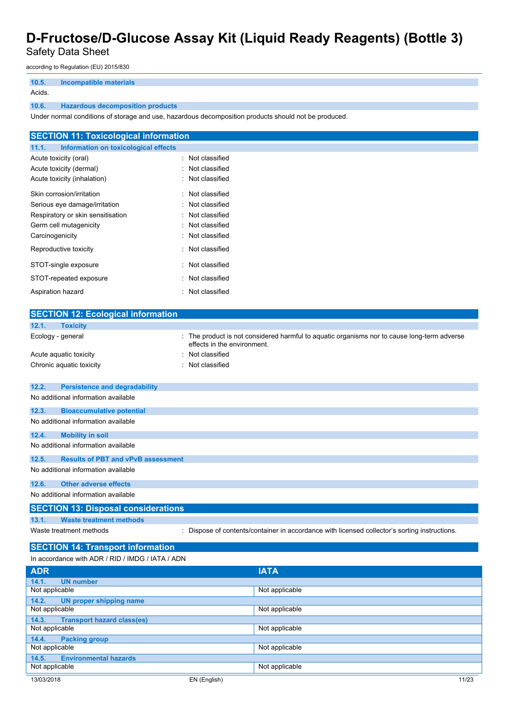Safety Data Sheet

according to Regulation (EU) 2015/830

| 10.5.  | Incompatible materials                  |
|--------|-----------------------------------------|
| Acids. |                                         |
| 10.6.  | <b>Hazardous decomposition products</b> |

Under normal conditions of storage and use, hazardous decomposition products should not be produced.

| <b>SECTION 11: Toxicological information</b>  |                  |
|-----------------------------------------------|------------------|
| 11.1.<br>Information on toxicological effects |                  |
| Acute toxicity (oral)                         | : Not classified |
| Acute toxicity (dermal)                       | : Not classified |
| Acute toxicity (inhalation)                   | : Not classified |
| Skin corrosion/irritation                     | : Not classified |
| Serious eye damage/irritation                 | : Not classified |
| Respiratory or skin sensitisation             | : Not classified |
| Germ cell mutagenicity                        | : Not classified |
| Carcinogenicity                               | : Not classified |
| Reproductive toxicity                         | : Not classified |
| STOT-single exposure                          | : Not classified |
| STOT-repeated exposure                        | : Not classified |
| Aspiration hazard                             | : Not classified |

| <b>SECTION 12: Ecological information</b>          |                                                                                                                            |
|----------------------------------------------------|----------------------------------------------------------------------------------------------------------------------------|
| 12.1.<br><b>Toxicity</b>                           |                                                                                                                            |
| Ecology - general                                  | : The product is not considered harmful to aquatic organisms nor to cause long-term adverse<br>effects in the environment. |
| Acute aquatic toxicity                             | Not classified                                                                                                             |
| Chronic aquatic toxicity                           | Not classified                                                                                                             |
|                                                    |                                                                                                                            |
| <b>Persistence and degradability</b><br>12.2.      |                                                                                                                            |
| No additional information available                |                                                                                                                            |
| 12.3.<br><b>Bioaccumulative potential</b>          |                                                                                                                            |
| No additional information available                |                                                                                                                            |
| 12.4.<br><b>Mobility in soil</b>                   |                                                                                                                            |
| No additional information available                |                                                                                                                            |
| <b>Results of PBT and vPvB assessment</b><br>12.5. |                                                                                                                            |
| No additional information available                |                                                                                                                            |
| <b>Other adverse effects</b><br>12.6.              |                                                                                                                            |
| No additional information available                |                                                                                                                            |
| <b>SECTION 13: Disposal considerations</b>         |                                                                                                                            |
| <b>Waste treatment methods</b><br>13.1.            |                                                                                                                            |
| Waste treatment methods                            | : Dispose of contents/container in accordance with licensed collector's sorting instructions.                              |
| <b>SECTION 14: Transport information</b>           |                                                                                                                            |
| In accordance with ADR / RID / IMDG / IATA / ADN   |                                                                                                                            |
| <b>ADR</b>                                         | <b>IATA</b>                                                                                                                |

| <b>ADR</b>                                 | <b>IAIA</b>    |       |
|--------------------------------------------|----------------|-------|
| 14.1.<br><b>UN number</b>                  |                |       |
| Not applicable                             | Not applicable |       |
| <b>UN proper shipping name</b><br>14.2.    |                |       |
| Not applicable                             | Not applicable |       |
| <b>Transport hazard class(es)</b><br>14.3. |                |       |
| Not applicable                             | Not applicable |       |
| 14.4.<br><b>Packing group</b>              |                |       |
| Not applicable                             | Not applicable |       |
| <b>Environmental hazards</b><br>14.5.      |                |       |
| Not applicable                             | Not applicable |       |
| 13/03/2018                                 | EN (English)   | 11/23 |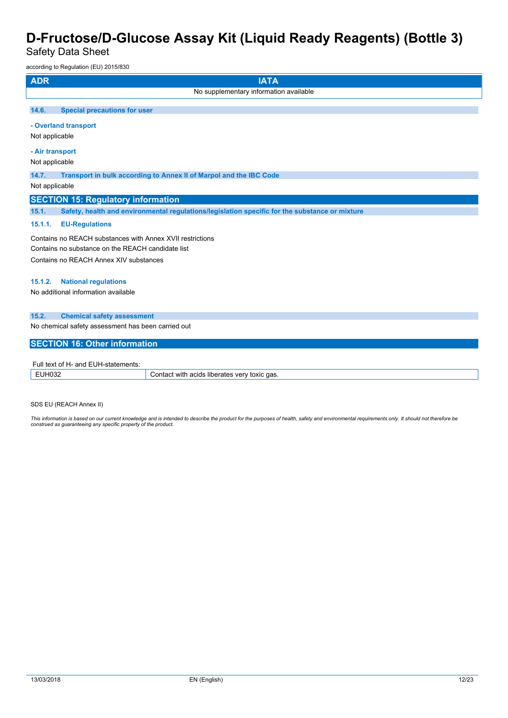Safety Data Sheet

according to Regulation (EU) 2015/830

| <b>ADR</b><br><b>IATA</b>                                                                                      |  |  |
|----------------------------------------------------------------------------------------------------------------|--|--|
| No supplementary information available                                                                         |  |  |
| <b>Special precautions for user</b><br>14.6.                                                                   |  |  |
| - Overland transport<br>Not applicable                                                                         |  |  |
| - Air transport<br>Not applicable                                                                              |  |  |
| 14.7.<br>Transport in bulk according to Annex II of Marpol and the IBC Code                                    |  |  |
| Not applicable                                                                                                 |  |  |
| <b>SECTION 15: Regulatory information</b>                                                                      |  |  |
| 15.1.<br>Safety, health and environmental regulations/legislation specific for the substance or mixture        |  |  |
| 15.1.1.<br><b>EU-Regulations</b>                                                                               |  |  |
| Contains no REACH substances with Annex XVII restrictions<br>Contains no substance on the REACH candidate list |  |  |
| Contains no REACH Annex XIV substances                                                                         |  |  |
| <b>National regulations</b><br>15.1.2.<br>No additional information available                                  |  |  |
| 15.2.<br><b>Chemical safety assessment</b>                                                                     |  |  |
| No chemical safety assessment has been carried out                                                             |  |  |
| <b>SECTION 16: Other information</b>                                                                           |  |  |
| Full text of H- and EUH-statements:                                                                            |  |  |

| uıı<br>rements<br>$\sim$<br>~~~<br>.<br>- OT<br>anu<br>-- UM-T<br>ылы |                                                                                                  |
|-----------------------------------------------------------------------|--------------------------------------------------------------------------------------------------|
| 11100<br>⊸י ח∪~                                                       | ≅qas.<br>਼ੀ with .<br>toxic<br>acids<br>⊧ liberates<br>ontaci<br>$\mathcal{M}$<br>. J<br>$\cdot$ |

SDS EU (REACH Annex II)

This information is based on our current knowledge and is intended to describe the product for the purposes of health, safety and environmental requirements only. It should not therefore be *construed as guaranteeing any specific property of the product.*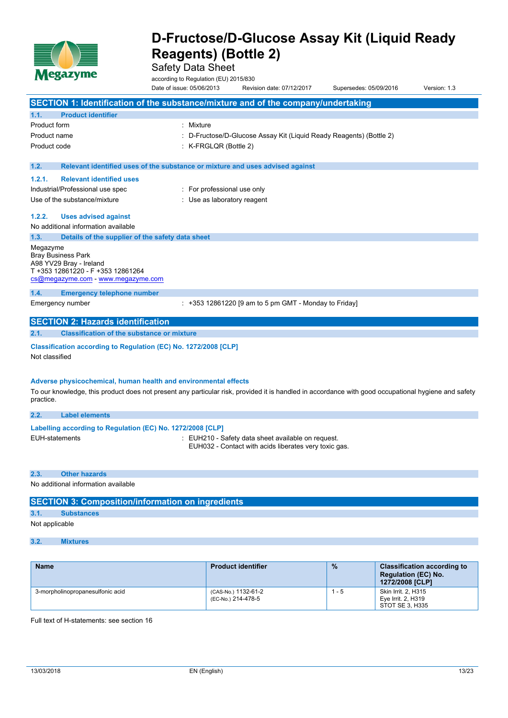

Safety Data Sheet

according to Regulation (EU) 2015/830 Date of issue: 05/06/2013 Revision date: 07/12/2017 Supersedes: 05/09/2016 Version: 1.3

|                       |                                                                                                                                 | SECTION 1: Identification of the substance/mixture and of the company/undertaking                                                                   |
|-----------------------|---------------------------------------------------------------------------------------------------------------------------------|-----------------------------------------------------------------------------------------------------------------------------------------------------|
| 1.1.                  | <b>Product identifier</b>                                                                                                       |                                                                                                                                                     |
| <b>Product form</b>   |                                                                                                                                 | : Mixture                                                                                                                                           |
| Product name          |                                                                                                                                 | D-Fructose/D-Glucose Assay Kit (Liquid Ready Reagents) (Bottle 2)                                                                                   |
| Product code          |                                                                                                                                 | K-FRGLQR (Bottle 2)                                                                                                                                 |
|                       |                                                                                                                                 |                                                                                                                                                     |
| 1.2.                  |                                                                                                                                 | Relevant identified uses of the substance or mixture and uses advised against                                                                       |
| 1.2.1.                | <b>Relevant identified uses</b>                                                                                                 |                                                                                                                                                     |
|                       | Industrial/Professional use spec                                                                                                | : For professional use only                                                                                                                         |
|                       | Use of the substance/mixture                                                                                                    | : Use as laboratory reagent                                                                                                                         |
| 1.2.2.                | <b>Uses advised against</b>                                                                                                     |                                                                                                                                                     |
|                       | No additional information available                                                                                             |                                                                                                                                                     |
| 1.3.                  | Details of the supplier of the safety data sheet                                                                                |                                                                                                                                                     |
| Megazyme              | <b>Bray Business Park</b><br>A98 YV29 Bray - Ireland<br>T +353 12861220 - F +353 12861264<br>cs@megazyme.com - www.megazyme.com |                                                                                                                                                     |
| 1.4.                  | <b>Emergency telephone number</b>                                                                                               |                                                                                                                                                     |
|                       | Emergency number                                                                                                                | : +353 12861220 [9 am to 5 pm GMT - Monday to Friday]                                                                                               |
|                       | <b>SECTION 2: Hazards identification</b>                                                                                        |                                                                                                                                                     |
| 2.1.                  | <b>Classification of the substance or mixture</b>                                                                               |                                                                                                                                                     |
| Not classified        | Classification according to Regulation (EC) No. 1272/2008 [CLP]                                                                 |                                                                                                                                                     |
| practice.             | Adverse physicochemical, human health and environmental effects                                                                 | To our knowledge, this product does not present any particular risk, provided it is handled in accordance with good occupational hygiene and safety |
| 2.2.                  | <b>Label elements</b>                                                                                                           |                                                                                                                                                     |
|                       | Labelling according to Regulation (EC) No. 1272/2008 [CLP]                                                                      |                                                                                                                                                     |
| <b>EUH-statements</b> |                                                                                                                                 | : EUH210 - Safety data sheet available on request.<br>EUH032 - Contact with acids liberates very toxic gas.                                         |

**2.3. Other hazards**

No additional information available

# **SECTION 3: Composition/information on ingredients**

**3.1. Substances**

Not applicable

### **3.2. Mixtures**

| <b>Name</b>                      | <b>Product identifier</b>                 | $\frac{9}{6}$ | <b>Classification according to</b><br><b>Regulation (EC) No.</b><br>1272/2008 <b>[CLP]</b> |
|----------------------------------|-------------------------------------------|---------------|--------------------------------------------------------------------------------------------|
| 3-morpholinopropanesulfonic acid | (CAS-No.) 1132-61-2<br>(EC-No.) 214-478-5 | . - 5         | Skin Irrit. 2. H315<br>Eye Irrit. 2, H319<br>STOT SE 3. H335                               |

Full text of H-statements: see section 16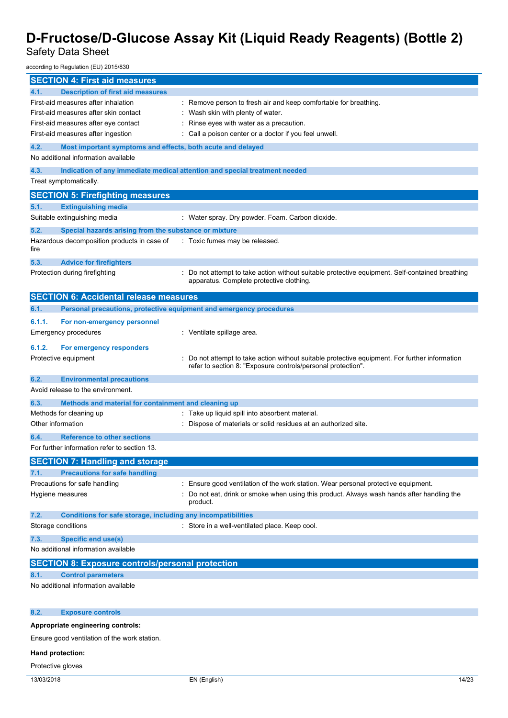Safety Data Sheet

according to Regulation (EU) 2015/830

| <b>SECTION 4: First aid measures</b>                                        |                                                                                                                                           |  |
|-----------------------------------------------------------------------------|-------------------------------------------------------------------------------------------------------------------------------------------|--|
| 4.1.<br><b>Description of first aid measures</b>                            |                                                                                                                                           |  |
| First-aid measures after inhalation                                         | : Remove person to fresh air and keep comfortable for breathing.                                                                          |  |
| First-aid measures after skin contact                                       | Wash skin with plenty of water.                                                                                                           |  |
| First-aid measures after eye contact                                        | Rinse eyes with water as a precaution.                                                                                                    |  |
| First-aid measures after ingestion                                          | Call a poison center or a doctor if you feel unwell.                                                                                      |  |
| 4.2.<br>Most important symptoms and effects, both acute and delayed         |                                                                                                                                           |  |
| No additional information available                                         |                                                                                                                                           |  |
|                                                                             |                                                                                                                                           |  |
| 4.3.                                                                        | Indication of any immediate medical attention and special treatment needed                                                                |  |
| Treat symptomatically.                                                      |                                                                                                                                           |  |
| <b>SECTION 5: Firefighting measures</b>                                     |                                                                                                                                           |  |
| 5.1.<br><b>Extinguishing media</b>                                          |                                                                                                                                           |  |
| Suitable extinguishing media                                                | : Water spray. Dry powder. Foam. Carbon dioxide.                                                                                          |  |
| 5.2.                                                                        |                                                                                                                                           |  |
| Special hazards arising from the substance or mixture                       |                                                                                                                                           |  |
| Hazardous decomposition products in case of<br>fire                         | : Toxic fumes may be released.                                                                                                            |  |
|                                                                             |                                                                                                                                           |  |
| 5.3.<br><b>Advice for firefighters</b>                                      |                                                                                                                                           |  |
| Protection during firefighting                                              | Do not attempt to take action without suitable protective equipment. Self-contained breathing<br>apparatus. Complete protective clothing. |  |
|                                                                             |                                                                                                                                           |  |
| <b>SECTION 6: Accidental release measures</b>                               |                                                                                                                                           |  |
| 6.1.<br>Personal precautions, protective equipment and emergency procedures |                                                                                                                                           |  |
| 6.1.1.<br>For non-emergency personnel                                       |                                                                                                                                           |  |
|                                                                             | : Ventilate spillage area.                                                                                                                |  |
| Emergency procedures                                                        |                                                                                                                                           |  |
| 6.1.2.<br>For emergency responders                                          |                                                                                                                                           |  |
| Protective equipment                                                        | Do not attempt to take action without suitable protective equipment. For further information                                              |  |
|                                                                             | refer to section 8: "Exposure controls/personal protection".                                                                              |  |
| 6.2.<br><b>Environmental precautions</b>                                    |                                                                                                                                           |  |
| Avoid release to the environment.                                           |                                                                                                                                           |  |
| Methods and material for containment and cleaning up<br>6.3.                |                                                                                                                                           |  |
| Methods for cleaning up                                                     | Take up liquid spill into absorbent material.                                                                                             |  |
| Other information                                                           | Dispose of materials or solid residues at an authorized site.                                                                             |  |
|                                                                             |                                                                                                                                           |  |
| <b>Reference to other sections</b><br>6.4.                                  |                                                                                                                                           |  |
| For further information refer to section 13.                                |                                                                                                                                           |  |
| <b>SECTION 7: Handling and storage</b>                                      |                                                                                                                                           |  |
| <b>Precautions for safe handling</b><br>7.1.                                |                                                                                                                                           |  |
| Precautions for safe handling                                               | Ensure good ventilation of the work station. Wear personal protective equipment.                                                          |  |
| Hygiene measures                                                            | Do not eat, drink or smoke when using this product. Always wash hands after handling the                                                  |  |
|                                                                             | product.                                                                                                                                  |  |
| <b>Conditions for safe storage, including any incompatibilities</b><br>7.2. |                                                                                                                                           |  |
| Storage conditions                                                          | : Store in a well-ventilated place. Keep cool.                                                                                            |  |
|                                                                             |                                                                                                                                           |  |
| <b>Specific end use(s)</b><br>7.3.                                          |                                                                                                                                           |  |
| No additional information available                                         |                                                                                                                                           |  |
| <b>SECTION 8: Exposure controls/personal protection</b>                     |                                                                                                                                           |  |
| 8.1.<br><b>Control parameters</b>                                           |                                                                                                                                           |  |
| No additional information available                                         |                                                                                                                                           |  |
|                                                                             |                                                                                                                                           |  |
|                                                                             |                                                                                                                                           |  |
| 8.2.<br><b>Exposure controls</b>                                            |                                                                                                                                           |  |
| Appropriate engineering controls:                                           |                                                                                                                                           |  |
| Ensure good ventilation of the work station.                                |                                                                                                                                           |  |
|                                                                             |                                                                                                                                           |  |
| Hand protection:                                                            |                                                                                                                                           |  |
| Protective gloves                                                           |                                                                                                                                           |  |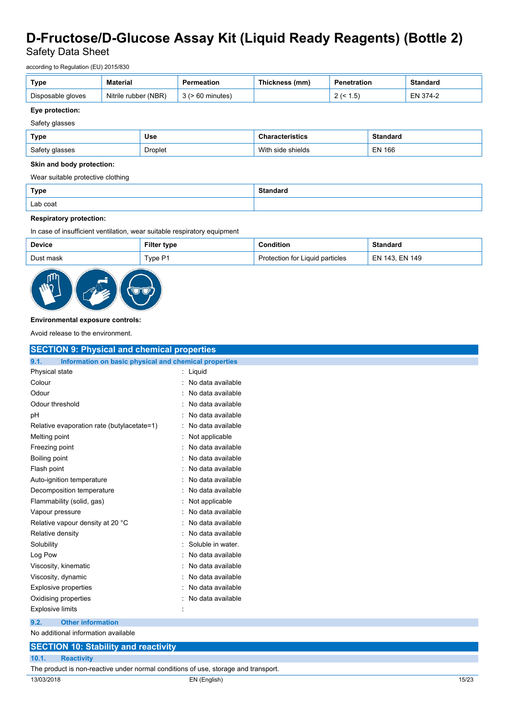Safety Data Sheet

according to Regulation (EU) 2015/830

| Type              | <b>Material</b>      | Permeatior  | ∈(mm`<br>Thickness . | Penetration | Standard |
|-------------------|----------------------|-------------|----------------------|-------------|----------|
| Disposable gloves | Nitrile rubber (NBR) | 60 minutes) |                      | 5۰. ،<br>-  | $4 - 2$  |

### **Eye protection:**

### Safety glasses

| Type           | Use     | <b>Characteristics</b> | <b>Standard</b> |
|----------------|---------|------------------------|-----------------|
| Safety glasses | Droplet | With<br>side shields   | <b>EN 166</b>   |

#### **Skin and body protection:**

Wear suitable protective clothing

| <b>Type</b> | Standard |
|-------------|----------|
| Lab coat    |          |

#### **Respiratory protection:**

In case of insufficient ventilation, wear suitable respiratory equipment

| <b>Device</b> | Filter type | <b>Condition</b>                | <b>Standard</b> |
|---------------|-------------|---------------------------------|-----------------|
| Dust mask     | Type P1     | Protection for Liquid particles | EN 143, EN 149  |



#### **Environmental exposure controls:**

Avoid release to the environment.

| <b>SECTION 9: Physical and chemical properties</b>    |
|-------------------------------------------------------|
| Information on basic physical and chemical properties |
| Liquid                                                |
| No data available                                     |
| No data available                                     |
| No data available                                     |
| No data available                                     |
| No data available                                     |
| Not applicable                                        |
| No data available                                     |
| No data available                                     |
| No data available                                     |
| No data available                                     |
| No data available                                     |
| Not applicable                                        |
| No data available                                     |
| No data available                                     |
| No data available                                     |
| Soluble in water.                                     |
| No data available                                     |
| No data available                                     |
| No data available                                     |
| No data available                                     |
| No data available                                     |
|                                                       |
|                                                       |
|                                                       |
|                                                       |
|                                                       |
|                                                       |

The product is non-reactive under normal conditions of use, storage and transport.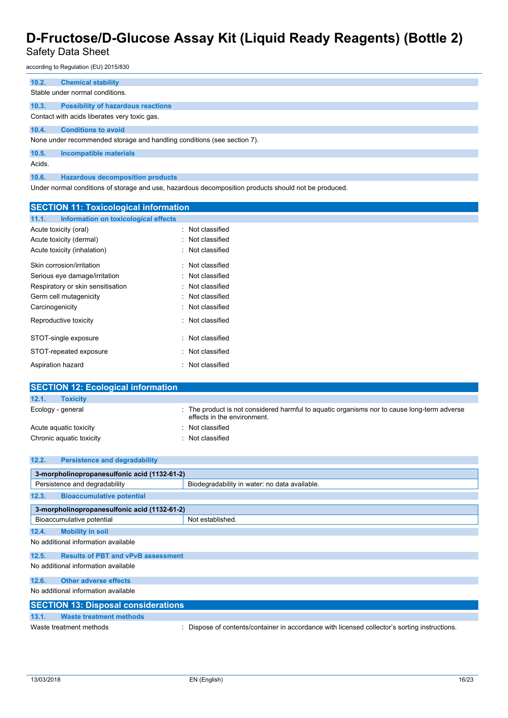# Safety Data Sheet

according to Regulation (EU) 2015/830

| 10.2.  | <b>Chemical stability</b>                                                                            |
|--------|------------------------------------------------------------------------------------------------------|
|        | Stable under normal conditions.                                                                      |
|        |                                                                                                      |
| 10.3.  | <b>Possibility of hazardous reactions</b>                                                            |
|        | Contact with acids liberates very toxic gas.                                                         |
| 10.4.  | <b>Conditions to avoid</b>                                                                           |
|        | None under recommended storage and handling conditions (see section 7).                              |
| 10.5.  | Incompatible materials                                                                               |
| Acids. |                                                                                                      |
| 10.6.  | <b>Hazardous decomposition products</b>                                                              |
|        | Under normal conditions of storage and use, hazardous decomposition products should not be produced. |

| <b>SECTION 11: Toxicological information</b>  |                  |
|-----------------------------------------------|------------------|
| Information on toxicological effects<br>11.1. |                  |
| Acute toxicity (oral)                         | Not classified   |
| Acute toxicity (dermal)                       | Not classified   |
| Acute toxicity (inhalation)                   | : Not classified |
| Skin corrosion/irritation                     | : Not classified |
| Serious eye damage/irritation                 | : Not classified |
| Respiratory or skin sensitisation             | Not classified   |
| Germ cell mutagenicity                        | : Not classified |
| Carcinogenicity                               | : Not classified |
| Reproductive toxicity                         | : Not classified |
| STOT-single exposure                          | Not classified   |
| STOT-repeated exposure                        | Not classified   |
| Aspiration hazard                             | : Not classified |

| <b>SECTION 12: Ecological information</b> |                                                                                                                            |
|-------------------------------------------|----------------------------------------------------------------------------------------------------------------------------|
| 12.1.<br><b>Toxicity</b>                  |                                                                                                                            |
| Ecology - general                         | : The product is not considered harmful to aquatic organisms nor to cause long-term adverse<br>effects in the environment. |
| Acute aguatic toxicity                    | : Not classified                                                                                                           |
| Chronic aquatic toxicity                  | : Not classified                                                                                                           |

| 12.2. | <b>Persistence and degradability</b>         |                                                                                             |  |  |
|-------|----------------------------------------------|---------------------------------------------------------------------------------------------|--|--|
|       | 3-morpholinopropanesulfonic acid (1132-61-2) |                                                                                             |  |  |
|       | Persistence and degradability                | Biodegradability in water: no data available.                                               |  |  |
| 12.3. | <b>Bioaccumulative potential</b>             |                                                                                             |  |  |
|       | 3-morpholinopropanesulfonic acid (1132-61-2) |                                                                                             |  |  |
|       | Bioaccumulative potential                    | Not established.                                                                            |  |  |
| 12.4. | <b>Mobility in soil</b>                      |                                                                                             |  |  |
|       | No additional information available          |                                                                                             |  |  |
| 12.5. | <b>Results of PBT and vPvB assessment</b>    |                                                                                             |  |  |
|       | No additional information available          |                                                                                             |  |  |
| 12.6. | <b>Other adverse effects</b>                 |                                                                                             |  |  |
|       | No additional information available          |                                                                                             |  |  |
|       | <b>SECTION 13: Disposal considerations</b>   |                                                                                             |  |  |
| 13.1. | <b>Waste treatment methods</b>               |                                                                                             |  |  |
|       | Waste treatment methods                      | Dispose of contents/container in accordance with licensed collector's sorting instructions. |  |  |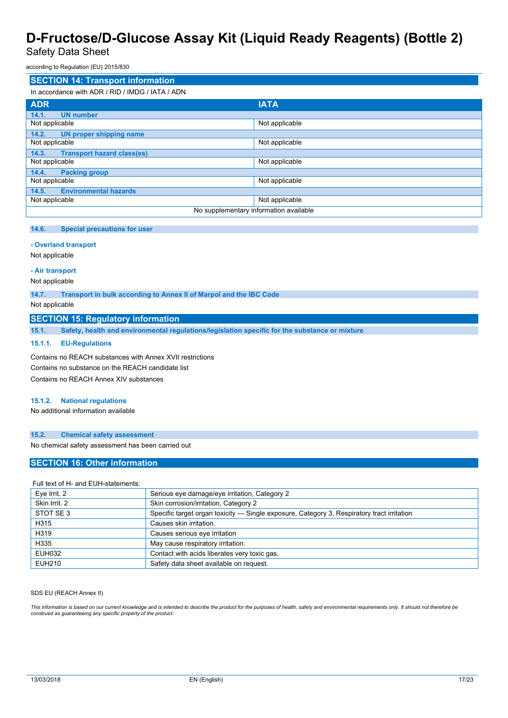Safety Data Sheet

according to Regulation (EU) 2015/830

| <b>SECTION 14: Transport information</b>         |                |  |
|--------------------------------------------------|----------------|--|
| In accordance with ADR / RID / IMDG / IATA / ADN |                |  |
| <b>ADR</b>                                       | <b>IATA</b>    |  |
| 14.1.<br><b>UN number</b>                        |                |  |
| Not applicable                                   | Not applicable |  |
| 14.2.<br>UN proper shipping name                 |                |  |
| Not applicable                                   | Not applicable |  |
| <b>Transport hazard class(es)</b><br>14.3.       |                |  |
| Not applicable                                   | Not applicable |  |
| 14.4.<br><b>Packing group</b>                    |                |  |
| Not applicable                                   | Not applicable |  |
| <b>Environmental hazards</b><br>14.5.            |                |  |
| Not applicable                                   | Not applicable |  |
| No supplementary information available           |                |  |

#### **14.6. Special precautions for user**

#### **- Overland transport**

Not applicable

#### **- Air transport**

## Not applicable

**14.7. Transport in bulk according to Annex II of Marpol and the IBC Code**

#### Not applicable

## **SECTION 15: Regulatory information**

**15.1. Safety, health and environmental regulations/legislation specific for the substance or mixture**

### **15.1.1. EU-Regulations**

Contains no REACH substances with Annex XVII restrictions Contains no substance on the REACH candidate list Contains no REACH Annex XIV substances

#### **15.1.2. National regulations**

No additional information available

#### **15.2. Chemical safety assessment**

No chemical safety assessment has been carried out

# **SECTION 16: Other information**

#### Full text of H- and EUH-statements:

| Eye Irrit. 2  | Serious eye damage/eye irritation, Category 2                                              |
|---------------|--------------------------------------------------------------------------------------------|
| Skin Irrit. 2 | Skin corrosion/irritation, Category 2                                                      |
| STOT SE 3     | Specific target organ toxicity - Single exposure, Category 3, Respiratory tract irritation |
| H315          | Causes skin irritation.                                                                    |
| H319          | Causes serious eye irritation                                                              |
| H335          | May cause respiratory irritation.                                                          |
| <b>EUH032</b> | Contact with acids liberates very toxic gas.                                               |
| <b>EUH210</b> | Safety data sheet available on request.                                                    |

### SDS EU (REACH Annex II)

This information is based on our current knowledge and is intended to describe the product for the purposes of health, safety and environmental requirements only. It should not therefore be<br>construed as guaranteeing any sp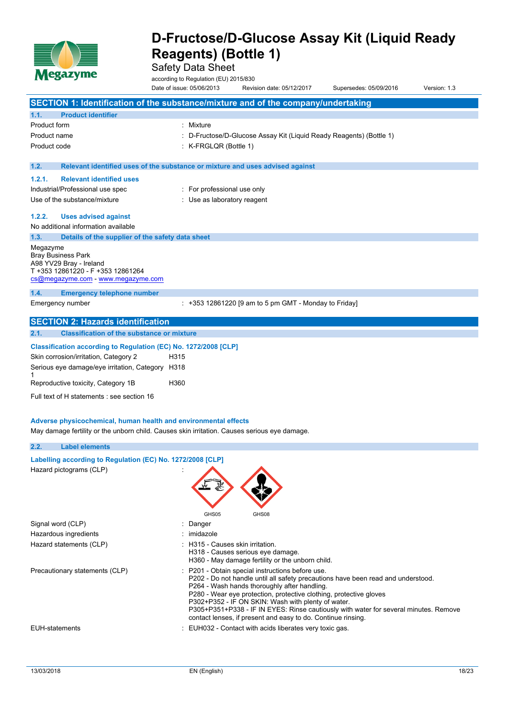

Safety Data Sheet

according to Regulation (EU) 2015/830 Date of issue: 05/06/2013 Revision date: 05/12/2017 Supersedes: 05/09/2016 Version: 1.3

|                     |                                                                         | SECTION 1: Identification of the substance/mixture and of the company/undertaking                                                    |  |
|---------------------|-------------------------------------------------------------------------|--------------------------------------------------------------------------------------------------------------------------------------|--|
| 1.1.                | <b>Product identifier</b>                                               |                                                                                                                                      |  |
| <b>Product form</b> |                                                                         | : Mixture                                                                                                                            |  |
| Product name        |                                                                         | : D-Fructose/D-Glucose Assay Kit (Liquid Ready Reagents) (Bottle 1)                                                                  |  |
| Product code        |                                                                         | : K-FRGLQR (Bottle 1)                                                                                                                |  |
|                     |                                                                         |                                                                                                                                      |  |
| 1.2.                |                                                                         | Relevant identified uses of the substance or mixture and uses advised against                                                        |  |
| 1.2.1.              | <b>Relevant identified uses</b>                                         |                                                                                                                                      |  |
|                     | Industrial/Professional use spec                                        | : For professional use only                                                                                                          |  |
|                     | Use of the substance/mixture                                            | : Use as laboratory reagent                                                                                                          |  |
| 1.2.2.              | <b>Uses advised against</b>                                             |                                                                                                                                      |  |
|                     | No additional information available                                     |                                                                                                                                      |  |
| 1.3.                | Details of the supplier of the safety data sheet                        |                                                                                                                                      |  |
| Megazyme            |                                                                         |                                                                                                                                      |  |
|                     | <b>Bray Business Park</b>                                               |                                                                                                                                      |  |
|                     | A98 YV29 Bray - Ireland                                                 |                                                                                                                                      |  |
|                     | T +353 12861220 - F +353 12861264<br>cs@megazyme.com - www.megazyme.com |                                                                                                                                      |  |
| 1.4.                | <b>Emergency telephone number</b>                                       |                                                                                                                                      |  |
|                     | Emergency number                                                        | $: +353$ 12861220 [9 am to 5 pm GMT - Monday to Friday]                                                                              |  |
|                     |                                                                         |                                                                                                                                      |  |
|                     | <b>SECTION 2: Hazards identification</b>                                |                                                                                                                                      |  |
| 2.1.                | <b>Classification of the substance or mixture</b>                       |                                                                                                                                      |  |
|                     | Classification according to Regulation (EC) No. 1272/2008 [CLP]         |                                                                                                                                      |  |
|                     | Skin corrosion/irritation, Category 2                                   | H315                                                                                                                                 |  |
|                     | Serious eye damage/eye irritation, Category H318                        |                                                                                                                                      |  |
|                     | Reproductive toxicity, Category 1B                                      | H360                                                                                                                                 |  |
|                     |                                                                         |                                                                                                                                      |  |
|                     | Full text of H statements : see section 16                              |                                                                                                                                      |  |
|                     |                                                                         |                                                                                                                                      |  |
|                     | Adverse physicochemical, human health and environmental effects         |                                                                                                                                      |  |
|                     |                                                                         | May damage fertility or the unborn child. Causes skin irritation. Causes serious eye damage.                                         |  |
| 2.2.                | <b>Label elements</b>                                                   |                                                                                                                                      |  |
|                     | Labelling according to Regulation (EC) No. 1272/2008 [CLP]              |                                                                                                                                      |  |
|                     | Hazard pictograms (CLP)                                                 |                                                                                                                                      |  |
|                     |                                                                         |                                                                                                                                      |  |
|                     |                                                                         |                                                                                                                                      |  |
|                     |                                                                         |                                                                                                                                      |  |
|                     |                                                                         | GHS05<br>GHS08                                                                                                                       |  |
|                     | Signal word (CLP)                                                       | Danger                                                                                                                               |  |
|                     | Hazardous ingredients                                                   | imidazole                                                                                                                            |  |
|                     | Hazard statements (CLP)                                                 | : H315 - Causes skin irritation.                                                                                                     |  |
|                     |                                                                         | H318 - Causes serious eye damage.                                                                                                    |  |
|                     |                                                                         | H360 - May damage fertility or the unborn child.                                                                                     |  |
|                     | Precautionary statements (CLP)                                          | : P201 - Obtain special instructions before use.<br>P202 - Do not handle until all safety precautions have been read and understood. |  |

P264 - Wash hands thoroughly after handling.

P302+P352 - IF ON SKIN: Wash with plenty of water.

contact lenses, if present and easy to do. Continue rinsing.

P280 - Wear eye protection, protective clothing, protective gloves

P305+P351+P338 - IF IN EYES: Rinse cautiously with water for several minutes. Remove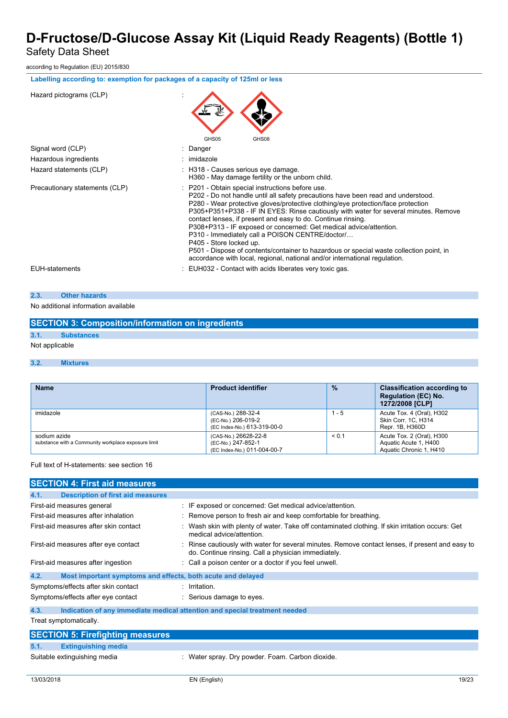Safety Data Sheet

according to Regulation (EU) 2015/830

| Labelling according to: exemption for packages of a capacity of 125ml or less |                                                                                                                                                                                                                                                                                                                                                                                                                                                                                                                                                                                                                                                                                                               |
|-------------------------------------------------------------------------------|---------------------------------------------------------------------------------------------------------------------------------------------------------------------------------------------------------------------------------------------------------------------------------------------------------------------------------------------------------------------------------------------------------------------------------------------------------------------------------------------------------------------------------------------------------------------------------------------------------------------------------------------------------------------------------------------------------------|
| Hazard pictograms (CLP)                                                       |                                                                                                                                                                                                                                                                                                                                                                                                                                                                                                                                                                                                                                                                                                               |
|                                                                               | GHS08<br>GHS05                                                                                                                                                                                                                                                                                                                                                                                                                                                                                                                                                                                                                                                                                                |
| Signal word (CLP)                                                             | Danger                                                                                                                                                                                                                                                                                                                                                                                                                                                                                                                                                                                                                                                                                                        |
| Hazardous ingredients                                                         | : imidazole                                                                                                                                                                                                                                                                                                                                                                                                                                                                                                                                                                                                                                                                                                   |
| Hazard statements (CLP)                                                       | : H318 - Causes serious eye damage.<br>H360 - May damage fertility or the unborn child.                                                                                                                                                                                                                                                                                                                                                                                                                                                                                                                                                                                                                       |
| Precautionary statements (CLP)                                                | : P201 - Obtain special instructions before use.<br>P202 - Do not handle until all safety precautions have been read and understood.<br>P280 - Wear protective gloves/protective clothing/eye protection/face protection<br>P305+P351+P338 - IF IN EYES: Rinse cautiously with water for several minutes. Remove<br>contact lenses, if present and easy to do. Continue rinsing.<br>P308+P313 - IF exposed or concerned: Get medical advice/attention.<br>P310 - Immediately call a POISON CENTRE/doctor/<br>P405 - Store locked up.<br>P501 - Dispose of contents/container to hazardous or special waste collection point, in<br>accordance with local, regional, national and/or international regulation. |
| <b>EUH-statements</b>                                                         | : EUH032 - Contact with acids liberates very toxic gas.                                                                                                                                                                                                                                                                                                                                                                                                                                                                                                                                                                                                                                                       |

# **2.3. Other hazards**

### No additional information available

|                | <b>SECTION 3: Composition/information on ingredients</b> |
|----------------|----------------------------------------------------------|
| 3.1.           | <b>Substances</b>                                        |
| Not applicable |                                                          |

## **3.2. Mixtures**

| <b>Name</b>                                                         | <b>Product identifier</b>                                                 | $\frac{9}{6}$ | <b>Classification according to</b><br><b>Regulation (EC) No.</b><br>1272/2008 [CLP] |
|---------------------------------------------------------------------|---------------------------------------------------------------------------|---------------|-------------------------------------------------------------------------------------|
| imidazole                                                           | (CAS-No.) 288-32-4<br>(EC-No.) 206-019-2<br>(EC Index-No.) 613-319-00-0   | 1 - 5         | Acute Tox. 4 (Oral), H302<br>Skin Corr. 1C. H314<br>Repr. 1B, H360D                 |
| sodium azide<br>substance with a Community workplace exposure limit | (CAS-No.) 26628-22-8<br>(EC-No.) 247-852-1<br>(EC Index-No.) 011-004-00-7 | < 0.1         | Acute Tox. 2 (Oral), H300<br>Aquatic Acute 1, H400<br>Aquatic Chronic 1, H410       |

Full text of H-statements: see section 16

| <b>SECTION 4: First aid measures</b>                                |                                                                                                                                                         |
|---------------------------------------------------------------------|---------------------------------------------------------------------------------------------------------------------------------------------------------|
| <b>Description of first aid measures</b><br>4.1.                    |                                                                                                                                                         |
| First-aid measures general                                          | : IF exposed or concerned: Get medical advice/attention.                                                                                                |
| First-aid measures after inhalation                                 | : Remove person to fresh air and keep comfortable for breathing.                                                                                        |
| First-aid measures after skin contact                               | : Wash skin with plenty of water. Take off contaminated clothing. If skin irritation occurs: Get<br>medical advice/attention.                           |
| First-aid measures after eye contact                                | : Rinse cautiously with water for several minutes. Remove contact lenses, if present and easy to<br>do. Continue rinsing. Call a physician immediately. |
| First-aid measures after ingestion                                  | : Call a poison center or a doctor if you feel unwell.                                                                                                  |
| 4.2.<br>Most important symptoms and effects, both acute and delayed |                                                                                                                                                         |
| Symptoms/effects after skin contact                                 | $:$ Irritation                                                                                                                                          |
| Symptoms/effects after eye contact                                  | : Serious damage to eyes.                                                                                                                               |
| 4.3.                                                                | Indication of any immediate medical attention and special treatment needed                                                                              |
| Treat symptomatically.                                              |                                                                                                                                                         |
| <b>SECTION 5: Firefighting measures</b>                             |                                                                                                                                                         |
| 5.1.<br><b>Extinguishing media</b>                                  |                                                                                                                                                         |
| Suitable extinguishing media                                        | : Water spray. Dry powder. Foam. Carbon dioxide.                                                                                                        |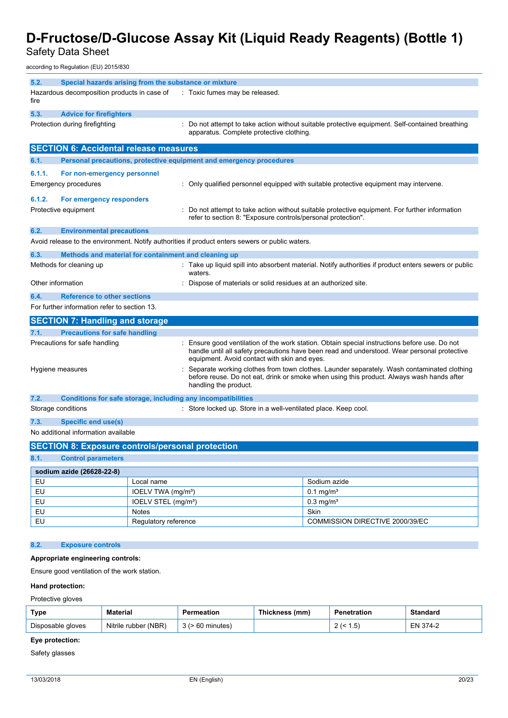Safety Data Sheet

according to Regulation (EU) 2015/830

| 5.2.              | Special hazards arising from the substance or mixture               |                                                                                                                                                                                                                                            |  |
|-------------------|---------------------------------------------------------------------|--------------------------------------------------------------------------------------------------------------------------------------------------------------------------------------------------------------------------------------------|--|
| fire              | Hazardous decomposition products in case of                         | : Toxic fumes may be released.                                                                                                                                                                                                             |  |
| 5.3.              | <b>Advice for firefighters</b>                                      |                                                                                                                                                                                                                                            |  |
|                   | Protection during firefighting                                      | Do not attempt to take action without suitable protective equipment. Self-contained breathing<br>apparatus. Complete protective clothing.                                                                                                  |  |
|                   | <b>SECTION 6: Accidental release measures</b>                       |                                                                                                                                                                                                                                            |  |
| 6.1.              | Personal precautions, protective equipment and emergency procedures |                                                                                                                                                                                                                                            |  |
| 6.1.1.            | For non-emergency personnel                                         |                                                                                                                                                                                                                                            |  |
|                   | <b>Emergency procedures</b>                                         | Only qualified personnel equipped with suitable protective equipment may intervene.                                                                                                                                                        |  |
| 6.1.2.            | For emergency responders                                            |                                                                                                                                                                                                                                            |  |
|                   | Protective equipment                                                | Do not attempt to take action without suitable protective equipment. For further information<br>refer to section 8: "Exposure controls/personal protection".                                                                               |  |
| 6.2.              | <b>Environmental precautions</b>                                    |                                                                                                                                                                                                                                            |  |
|                   |                                                                     | Avoid release to the environment. Notify authorities if product enters sewers or public waters.                                                                                                                                            |  |
| 6.3.              | Methods and material for containment and cleaning up                |                                                                                                                                                                                                                                            |  |
|                   | Methods for cleaning up                                             | Take up liquid spill into absorbent material. Notify authorities if product enters sewers or public<br>waters.                                                                                                                             |  |
| Other information |                                                                     | Dispose of materials or solid residues at an authorized site.                                                                                                                                                                              |  |
| 6.4.              | <b>Reference to other sections</b>                                  |                                                                                                                                                                                                                                            |  |
|                   | For further information refer to section 13.                        |                                                                                                                                                                                                                                            |  |
|                   | <b>SECTION 7: Handling and storage</b>                              |                                                                                                                                                                                                                                            |  |
| 7.1.              | <b>Precautions for safe handling</b>                                |                                                                                                                                                                                                                                            |  |
|                   | Precautions for safe handling                                       | Ensure good ventilation of the work station. Obtain special instructions before use. Do not<br>handle until all safety precautions have been read and understood. Wear personal protective<br>equipment. Avoid contact with skin and eyes. |  |
|                   | Hygiene measures                                                    | Separate working clothes from town clothes. Launder separately. Wash contaminated clothing<br>before reuse. Do not eat, drink or smoke when using this product. Always wash hands after<br>handling the product.                           |  |
| 7.2.              | Conditions for safe storage, including any incompatibilities        |                                                                                                                                                                                                                                            |  |
|                   | Storage conditions                                                  | : Store locked up. Store in a well-ventilated place. Keep cool.                                                                                                                                                                            |  |
| 7.3.              | <b>Specific end use(s)</b>                                          |                                                                                                                                                                                                                                            |  |
|                   | No additional information available                                 |                                                                                                                                                                                                                                            |  |
|                   | <b>SECTION 8: Exposure controls/personal protection</b>             |                                                                                                                                                                                                                                            |  |
| 8.1.              | <b>Control parameters</b>                                           |                                                                                                                                                                                                                                            |  |

| sodium azide (26628-22-8) |                                 |                                 |
|---------------------------|---------------------------------|---------------------------------|
| EU                        | Local name                      | Sodium azide                    |
| <b>EU</b>                 | IOELV TWA (mg/m <sup>3</sup> )  | $0.1 \,\mathrm{mq/m^3}$         |
| EU                        | IOELV STEL (mg/m <sup>3</sup> ) | $0.3 \text{ mg/m}^3$            |
| <b>EU</b>                 | <b>Notes</b>                    | Skin                            |
| EU                        | Regulatory reference            | COMMISSION DIRECTIVE 2000/39/EC |

# **8.2. Exposure controls**

## **Appropriate engineering controls:**

Ensure good ventilation of the work station.

### **Hand protection:**

Protective gloves

| <b>Type</b>       | <b>Material</b>      | Permeation          | <b>Thickness</b><br>(mm) | Penetration | <b>Standard</b> |
|-------------------|----------------------|---------------------|--------------------------|-------------|-----------------|
| Disposable gloves | Nitrile rubber (NBR) | 's (> 60 minutes) ، |                          | י כ. ו      | $1374-2$<br>EΝ  |

# **Eye protection:**

Safety glasses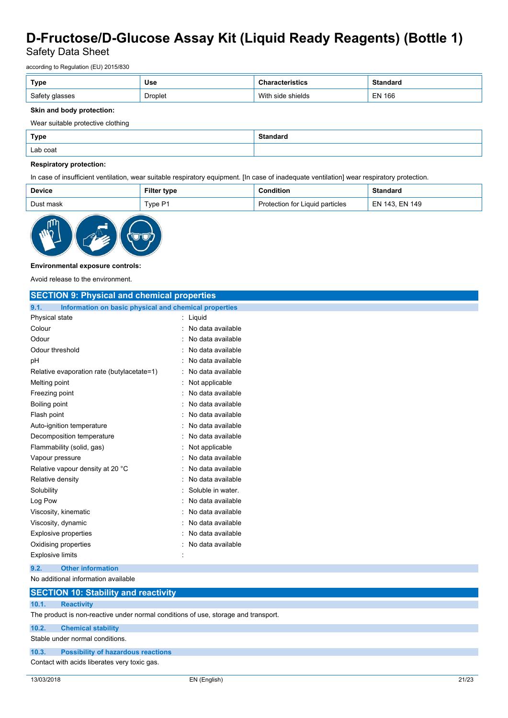Safety Data Sheet

according to Regulation (EU) 2015/830

| Type                                  | Use     | istics                  | iuai u        |
|---------------------------------------|---------|-------------------------|---------------|
| Safety<br><sup>,</sup> glasses<br>ں ر | Droplet | With<br>shields<br>side | <b>EN 166</b> |

### **Skin and body protection:**

Wear suitable protective clothing

| Type     | <b>Standard</b><br>. |
|----------|----------------------|
| Lab coat |                      |

## **Respiratory protection:**

In case of insufficient ventilation, wear suitable respiratory equipment. [In case of inadequate ventilation] wear respiratory protection.

| Device    | Filter type | :onditior                       | Standard       |
|-----------|-------------|---------------------------------|----------------|
| Dust mask | Type P1     | Protection for Liquid particles | EN 143. EN 149 |



#### **Environmental exposure controls:**

Avoid release to the environment.

| <b>SECTION 9: Physical and chemical properties</b>                                 |                   |
|------------------------------------------------------------------------------------|-------------------|
| Information on basic physical and chemical properties<br>9.1.                      |                   |
| Physical state                                                                     | : Liquid          |
| Colour                                                                             | No data available |
| Odour                                                                              | No data available |
| Odour threshold                                                                    | No data available |
| рH                                                                                 | No data available |
| Relative evaporation rate (butylacetate=1)                                         | No data available |
| Melting point                                                                      | Not applicable    |
| Freezing point                                                                     | No data available |
| Boiling point                                                                      | No data available |
| Flash point                                                                        | No data available |
| Auto-ignition temperature                                                          | No data available |
| Decomposition temperature                                                          | No data available |
| Flammability (solid, gas)                                                          | Not applicable    |
| Vapour pressure                                                                    | No data available |
| Relative vapour density at 20 °C                                                   | No data available |
| Relative density                                                                   | No data available |
| Solubility                                                                         | Soluble in water. |
| Log Pow                                                                            | No data available |
| Viscosity, kinematic                                                               | No data available |
| Viscosity, dynamic                                                                 | No data available |
| <b>Explosive properties</b>                                                        | No data available |
| Oxidising properties                                                               | No data available |
| <b>Explosive limits</b>                                                            |                   |
| <b>Other information</b><br>9.2.                                                   |                   |
| No additional information available                                                |                   |
| <b>SECTION 10: Stability and reactivity</b>                                        |                   |
| 10.1.<br><b>Reactivity</b>                                                         |                   |
| The product is non-reactive under normal conditions of use, storage and transport. |                   |

**10.2. Chemical stability**

Stable under normal conditions.

**10.3. Possibility of hazardous reactions**

Contact with acids liberates very toxic gas.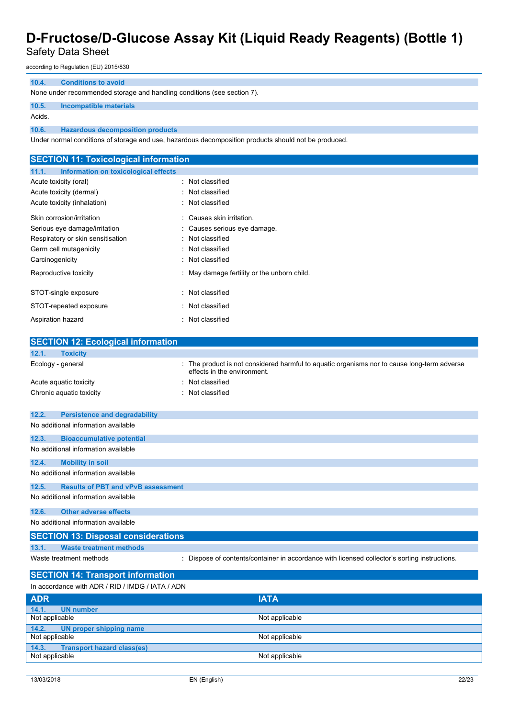# Safety Data Sheet

according to Regulation (EU) 2015/830

#### **10.4. Conditions to avoid**

None under recommended storage and handling conditions (see section 7).

### **10.5. Incompatible materials**

Acids.

**10.6. Hazardous decomposition products**

Under normal conditions of storage and use, hazardous decomposition products should not be produced.

| <b>SECTION 11: Toxicological information</b>  |                                             |
|-----------------------------------------------|---------------------------------------------|
| Information on toxicological effects<br>11.1. |                                             |
| Acute toxicity (oral)                         | : Not classified                            |
| Acute toxicity (dermal)                       | : Not classified                            |
| Acute toxicity (inhalation)                   | : Not classified                            |
| Skin corrosion/irritation                     | : Causes skin irritation.                   |
| Serious eye damage/irritation                 | : Causes serious eye damage.                |
| Respiratory or skin sensitisation             | : Not classified                            |
| Germ cell mutagenicity                        | : Not classified                            |
| Carcinogenicity                               | : Not classified                            |
| Reproductive toxicity                         | : May damage fertility or the unborn child. |
| STOT-single exposure                          | : Not classified                            |
| STOT-repeated exposure                        | : Not classified                            |
| Aspiration hazard                             | : Not classified                            |
|                                               |                                             |

|                                                  | <b>SECTION 12: Ecological information</b>  |                             |                                                                                             |  |  |
|--------------------------------------------------|--------------------------------------------|-----------------------------|---------------------------------------------------------------------------------------------|--|--|
| <b>Toxicity</b><br>12.1.                         |                                            |                             |                                                                                             |  |  |
| Ecology - general                                |                                            | effects in the environment. | The product is not considered harmful to aquatic organisms nor to cause long-term adverse   |  |  |
| Acute aquatic toxicity                           |                                            | Not classified              |                                                                                             |  |  |
| Chronic aquatic toxicity                         |                                            | Not classified              |                                                                                             |  |  |
| 12.2.                                            | <b>Persistence and degradability</b>       |                             |                                                                                             |  |  |
| No additional information available              |                                            |                             |                                                                                             |  |  |
| 12.3.                                            | <b>Bioaccumulative potential</b>           |                             |                                                                                             |  |  |
| No additional information available              |                                            |                             |                                                                                             |  |  |
| 12.4.                                            | <b>Mobility in soil</b>                    |                             |                                                                                             |  |  |
| No additional information available              |                                            |                             |                                                                                             |  |  |
| 12.5.                                            | <b>Results of PBT and vPvB assessment</b>  |                             |                                                                                             |  |  |
| No additional information available              |                                            |                             |                                                                                             |  |  |
| 12.6.                                            | <b>Other adverse effects</b>               |                             |                                                                                             |  |  |
|                                                  | No additional information available        |                             |                                                                                             |  |  |
|                                                  | <b>SECTION 13: Disposal considerations</b> |                             |                                                                                             |  |  |
| 13.1.                                            | <b>Waste treatment methods</b>             |                             |                                                                                             |  |  |
| Waste treatment methods                          |                                            |                             | Dispose of contents/container in accordance with licensed collector's sorting instructions. |  |  |
|                                                  | <b>SECTION 14: Transport information</b>   |                             |                                                                                             |  |  |
| In accordance with ADR / RID / IMDG / IATA / ADN |                                            |                             |                                                                                             |  |  |
| <b>ADR</b>                                       |                                            |                             | <b>IATA</b>                                                                                 |  |  |
| <b>UN number</b><br>14.1.                        |                                            |                             |                                                                                             |  |  |
| Not applicable                                   |                                            |                             | Not applicable                                                                              |  |  |
| 14.2.                                            | <b>UN proper shipping name</b>             |                             |                                                                                             |  |  |

**14.3. Transport hazard class(es)**

Not applicable Not applicable

Not applicable Not applicable